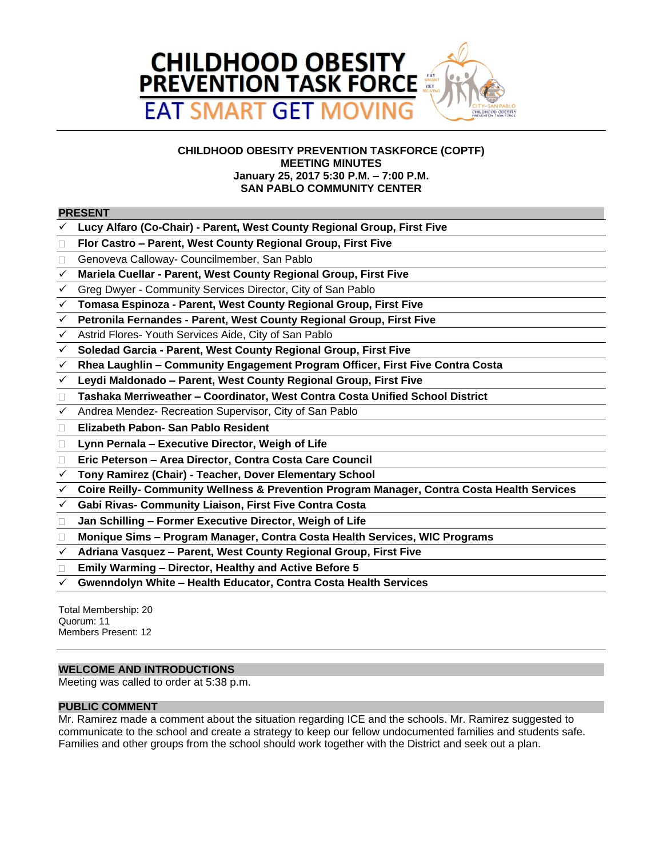

# **CHILDHOOD OBESITY PREVENTION TASKFORCE (COPTF) MEETING MINUTES January 25, 2017 5:30 P.M. – 7:00 P.M. SAN PABLO COMMUNITY CENTER**

### **PRESENT**

- **Lucy Alfaro (Co-Chair) Parent, West County Regional Group, First Five**
- **Flor Castro – Parent, West County Regional Group, First Five**
- □ Genoveva Calloway- Councilmember, San Pablo
- **Mariela Cuellar Parent, West County Regional Group, First Five**
- Greg Dwyer Community Services Director, City of San Pablo
- **Tomasa Espinoza Parent, West County Regional Group, First Five**
- **Petronila Fernandes Parent, West County Regional Group, First Five**
- Astrid Flores- Youth Services Aide, City of San Pablo
- **Soledad Garcia Parent, West County Regional Group, First Five**
- **Rhea Laughlin – Community Engagement Program Officer, First Five Contra Costa**
- **Leydi Maldonado – Parent, West County Regional Group, First Five**
- **Tashaka Merriweather – Coordinator, West Contra Costa Unified School District**
- Andrea Mendez- Recreation Supervisor, City of San Pablo
- **Elizabeth Pabon- San Pablo Resident**
- **Lynn Pernala – Executive Director, Weigh of Life**
- **Eric Peterson – Area Director, Contra Costa Care Council**
- **Tony Ramirez (Chair) Teacher, Dover Elementary School**
- **Coire Reilly- Community Wellness & Prevention Program Manager, Contra Costa Health Services**
- **Gabi Rivas- Community Liaison, First Five Contra Costa**
- **Jan Schilling – Former Executive Director, Weigh of Life**
- **Monique Sims – Program Manager, Contra Costa Health Services, WIC Programs**
- **Adriana Vasquez – Parent, West County Regional Group, First Five**
- **Emily Warming – Director, Healthy and Active Before 5**
- **Gwenndolyn White – Health Educator, Contra Costa Health Services**

Total Membership: 20 Quorum: 11 Members Present: 12

### **WELCOME AND INTRODUCTIONS**

Meeting was called to order at 5:38 p.m.

#### **PUBLIC COMMENT**

Mr. Ramirez made a comment about the situation regarding ICE and the schools. Mr. Ramirez suggested to communicate to the school and create a strategy to keep our fellow undocumented families and students safe. Families and other groups from the school should work together with the District and seek out a plan.